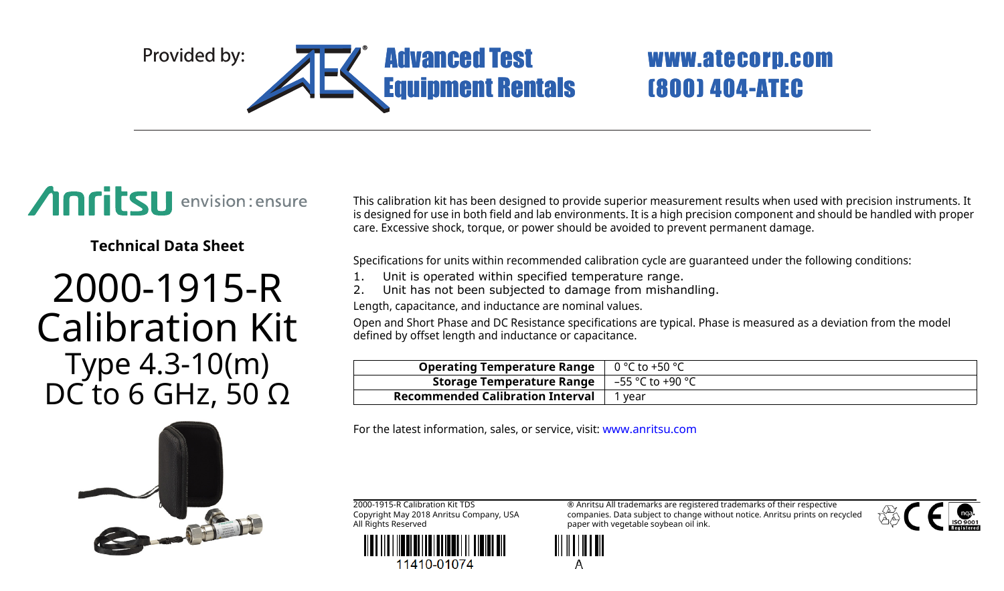

# (800) 404-ATEC

## Anritsu envision: ensure

**Technical Data Sheet**

### 2000-1915-R Calibration Kit Type 4.3-10(m) DC to 6 GHz, 50  $Ω$



This calibration kit has been designed to provide superior measurement results when used with precision instruments. It is designed for use in both field and lab environments. It is a high precision component and should be handled with proper care. Excessive shock, torque, or power should be avoided to prevent permanent damage.

Specifications for units within recommended calibration cycle are guaranteed under the following conditions:

- 1. Unit is operated within specified temperature range.
- 2. Unit has not been subjected to damage from mishandling.

Length, capacitance, and inductance are nominal values.

Open and Short Phase and DC Resistance specifications are typical. Phase is measured as a deviation from the model defined by offset length and inductance or capacitance.

| <b>Operating Temperature Range</b> $\vert 0^{\circ}$ C to +50 $^{\circ}$ C |                          |
|----------------------------------------------------------------------------|--------------------------|
| Storage Temperature Range                                                  | $\vert$ –55 °C to +90 °C |
| <b>Recommended Calibration Interval</b>                                    | vear                     |

For the latest information, sales, or service, visit: www.anritsu.com

2000-1915-R Calibration Kit TDS Copyright May 2018 Anritsu Company, USA All Rights Reserved



® Anritsu All trademarks are registered trademarks of their respective companies. Data subject to change without notice. Anritsu prints on recycled paper with vegetable soybean oil ink.